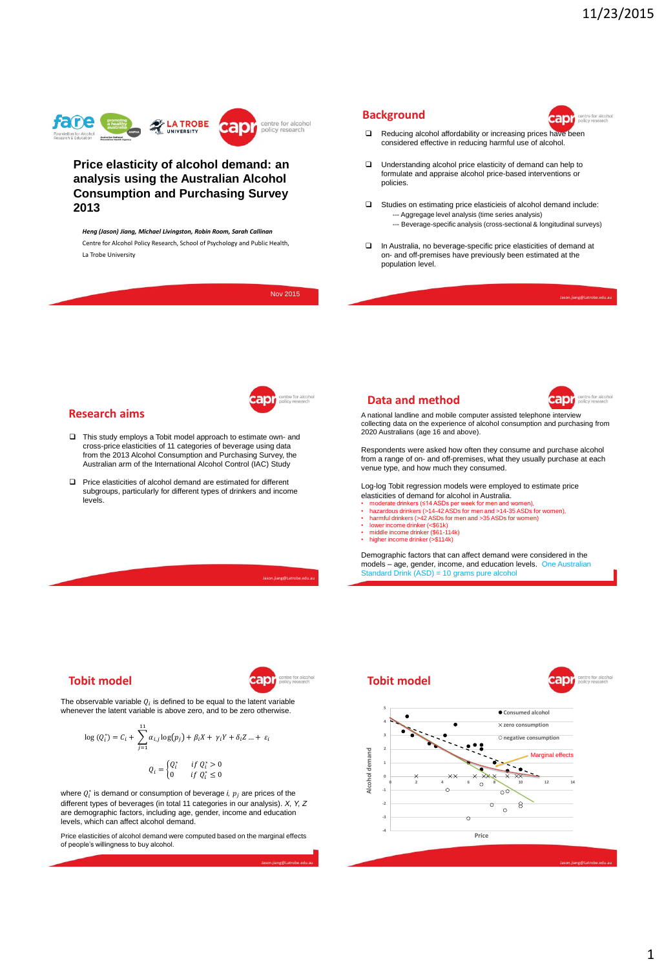anı



#### **Price elasticity of alcohol demand: an analysis using the Australian Alcohol Consumption and Purchasing Survey 2013**

*Heng (Jason) Jiang, Michael Livingston, Robin Room, Sarah Callinan* Centre for Alcohol Policy Research, School of Psychology and Public Health, La Trobe University



**Background**

#### **Tobit model**

**Research aims**

levels.

apr:

The observable variable  $Q_i$  is defined to be equal to the latent variable whenever the latent variable is above zero, and to be zero otherwise.

 $\overline{1}$ 

$$
\log (Q_i^*) = C_i + \sum_{j=1}^{11} \alpha_{i,j} \log (p_j) + \beta_i X + \gamma_i Y + \delta_i Z \dots + \varepsilon_i
$$

$$
Q_i = \begin{cases} Q_i^* & \text{if } Q_i^* > 0 \\ 0 & \text{if } Q_i^* < 0 \end{cases}
$$

where  $Q_i^*$  is demand or consumption of beverage *i,*  $p_j$  are prices of the different types of beverages (in total 11 categories in our analysis). *X, Y, Z* are demographic factors, including age, gender, income and education levels, which can affect alcohol demand.

0 if  $Q_i^* \leq 0$ 

Price elasticities of alcohol demand were computed based on the marginal effects of people's willingness to buy alcohol.

Jason.jiang@Latrobe.edu.au

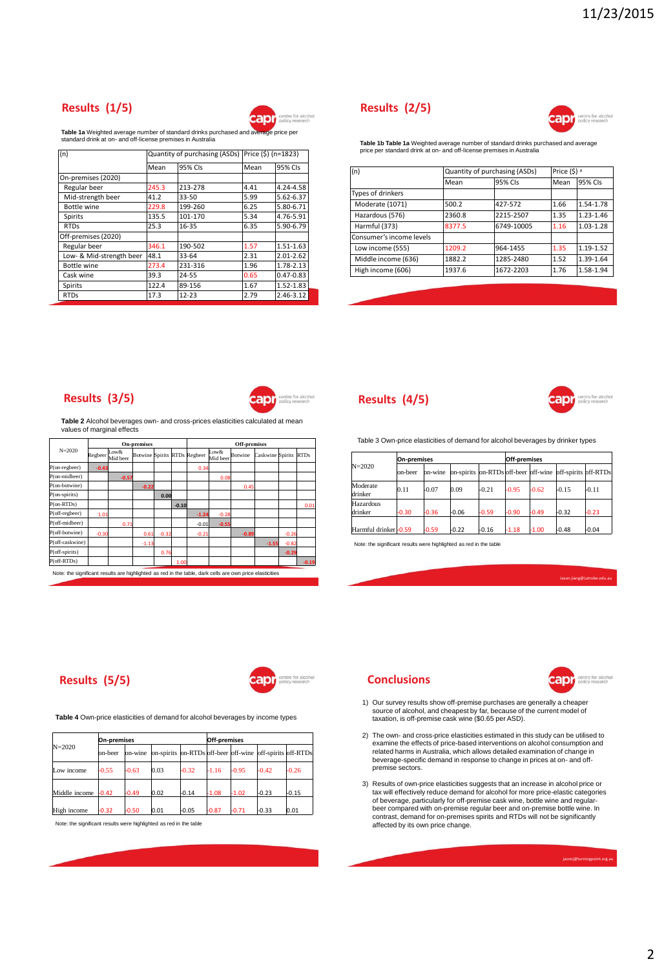# **Results (1/5)**



**Table 1a** Weighted average number of standard drinks purchased and average price per standard drink at on- and off-license premises in Australia

| (n)                      |                 | Quantity of purchasing (ASDs) Price (\$) (n=1823) |      |               |  |
|--------------------------|-----------------|---------------------------------------------------|------|---------------|--|
|                          | 95% CIs<br>Mean |                                                   | Mean | 95% CIs       |  |
| On-premises (2020)       |                 |                                                   |      |               |  |
| Regular beer             | 245.3           | 213-278                                           | 4.41 | 4.24-4.58     |  |
| Mid-strength beer        | 41.2            | 33-50                                             | 5.99 | 5.62-6.37     |  |
| Bottle wine              | 229.8           | 199-260                                           | 6.25 | 5.80-6.71     |  |
| Spirits                  | 135.5           | 101-170                                           | 5.34 | 4.76-5.91     |  |
| <b>RTDs</b>              | 25.3            | 16-35                                             | 6.35 | 5.90-6.79     |  |
| Off-premises (2020)      |                 |                                                   |      |               |  |
| Regular beer             | 346.1           | 190-502                                           | 1.57 | 1.51-1.63     |  |
| Low- & Mid-strength beer | 48.1            | 33-64                                             | 2.31 | 2.01-2.62     |  |
| Bottle wine              | 273.4           | 231-316                                           | 1.96 | 1.78-2.13     |  |
| Cask wine                | 39.3            | 24-55                                             | 0.65 | $0.47 - 0.83$ |  |
| Spirits                  | 122.4           | 89-156                                            | 1.67 | 1.52-1.83     |  |
| <b>RTDs</b>              | 17.3            | $12 - 23$                                         | 2.79 | 2.46-3.12     |  |

### **Results (2/5)**



**Table 1b Table 1a** Weighted average number of standard drinks purchased and average price per standard drink at on- and off-license premises in Australia

| (n)                      | Quantity of purchasing (ASDs) |            | Price (\$) <sup>a</sup> |               |  |
|--------------------------|-------------------------------|------------|-------------------------|---------------|--|
|                          | Mean                          | 95% CIs    | Mean                    | 95% CIs       |  |
| Types of drinkers        |                               |            |                         |               |  |
| Moderate (1071)          | 500.2                         | 427-572    | 1.66                    | 1.54-1.78     |  |
| Hazardous (576)          | 2360.8                        | 2215-2507  | 1.35                    | $1.23 - 1.46$ |  |
| Harmful (373)            | 8377.5                        | 6749-10005 | 1.16                    | 1.03-1.28     |  |
| Consumer's income levels |                               |            |                         |               |  |
| Low income (555)         | 1209.2                        | 964-1455   | 1.35                    | 1.19-1.52     |  |
| Middle income (636)      | 1882.2                        | 1285-2480  | 1.52                    | 1.39-1.64     |  |
| High income (606)        | 1937.6                        | 1672-2203  | 1.76                    | 1.58-1.94     |  |

#### **Results (3/5)**

**Results (5/5)**



centre for alcohol<br>policy research

anr

**Table 2** Alcohol beverages own- and cross-prices elasticities calculated at mean values of marginal effects

| <b>On-premises</b>  |                                                                                                          |                  |                              | <b>Off-premises</b> |         |         |                  |         |                       |         |         |
|---------------------|----------------------------------------------------------------------------------------------------------|------------------|------------------------------|---------------------|---------|---------|------------------|---------|-----------------------|---------|---------|
| $N = 2020$          | Regbeer                                                                                                  | Low&<br>Mid beer | Botwine Spirits RTDs Regbeer |                     |         |         | Low&<br>Mid beer | Botwine | Caskwine Spirits RTDs |         |         |
| $P($ on-regbeer $)$ | $-0.43$                                                                                                  |                  |                              |                     |         | 0.34    |                  |         |                       |         |         |
| P(on-midbeer)       |                                                                                                          | $-0.57$          |                              |                     |         |         | 0.08             |         |                       |         |         |
| P(on-botwine)       |                                                                                                          |                  | $-0.22$                      |                     |         |         |                  | 0.45    |                       |         |         |
| $P($ on-spirits $)$ |                                                                                                          |                  |                              | 0.00                |         |         |                  |         |                       |         |         |
| $P$ (on-RTDs)       |                                                                                                          |                  |                              |                     | $-0.10$ |         |                  |         |                       |         | 0.01    |
| $P$ (off-regbeer)   | 1.01                                                                                                     |                  |                              |                     |         | $-1.24$ | $-0.28$          |         |                       |         |         |
| P(off-midbeer)      |                                                                                                          | 0.71             |                              |                     |         | $-0.01$ | $-0.55$          |         |                       |         |         |
| P(off-botwine)      | $-0.30$                                                                                                  |                  | 0.61                         | $-0.32$             |         | $-0.21$ |                  | $-0.89$ |                       | $-0.26$ |         |
| P(off-caskwine)     |                                                                                                          |                  | $-1.13$                      |                     |         |         |                  |         | $-1.55$               | $-0.82$ |         |
| $P$ (off-spirits)   |                                                                                                          |                  |                              | 0.76                |         |         |                  |         |                       | $-0.29$ |         |
| $P$ (off-RTDs)      |                                                                                                          |                  |                              |                     | 1.00    |         |                  |         |                       |         | $-0.19$ |
|                     | Note: the significant results are highlighted as red in the table, dark cells are own price elasticities |                  |                              |                     |         |         |                  |         |                       |         |         |

#### **Results (4/5)**



Table 3 Own-price elasticities of demand for alcohol beverages by drinker types

| $N = 2020$           | <b>On-premises</b> |         |                                                                |         | <b>Off-premises</b> |         |         |         |  |
|----------------------|--------------------|---------|----------------------------------------------------------------|---------|---------------------|---------|---------|---------|--|
|                      | on-beer            | on-wine | lon-spirits lon-RTDs off-beer loff-wine loff-spirits loff-RTDs |         |                     |         |         |         |  |
| Moderate<br>drinker  | 0.11               | $-0.07$ | 0.09                                                           | $-0.21$ | $-0.95$             | $-0.62$ | $-0.15$ | $-0.11$ |  |
| Hazardous<br>drinker | $-0.30$            | $-0.36$ | $-0.06$                                                        | $-0.59$ | $-0.90$             | $-0.49$ | $-0.32$ | $-0.23$ |  |
| Harmful drinker-0.59 |                    | $-0.59$ | $-0.22$                                                        | $-0.16$ | $-1.18$             | $-1.00$ | $-0.48$ | $-0.04$ |  |

Note: the significant results were highlighted as red in the table

.<br>In.jiang@Latrobe.edu.

#### **Conclusions**



- 1) Our survey results show off-premise purchases are generally a cheaper source of alcohol, and cheapest by far, because of the current model of taxation, is off-premise cask wine (\$0.65 per ASD).
- 2) The own- and cross-price elasticities estimated in this study can be utilised to examine the effects of price-based interventions on alcohol consumption and related harms in Australia, which allows detailed examination of change in beverage-specific demand in response to change in prices at on- and offpremise sectors.
- 3) Results of own-price elasticities suggests that an increase in alcohol price or<br>tax will effectively reduce demand for alcohol for more price-elastic categories<br>of beverage, particularly for off-premise cask wine, bottl beer compared with on-premise regular beer and on-premise bottle wine. In contrast, demand for on-premises spirits and RTDs will not be significantly affected by its own price change.

jasonj@turningpoint.org.a

**Table 4** Own-price elasticities of demand for alcohol beverages by income types

| $N = 2020$    | <b>On-premises</b> |         |                                                           |         | Off-premises |         |         |         |
|---------------|--------------------|---------|-----------------------------------------------------------|---------|--------------|---------|---------|---------|
|               | on-beer            | on-wine | on-spirits on-RTDs off-beer off-wine off-spirits off-RTDs |         |              |         |         |         |
| Low income    | $-0.55$            | $-0.63$ | 0.03                                                      | $-0.32$ | $-1.16$      | $-0.95$ | $-0.42$ | $-0.26$ |
| Middle income | $-0.42$            | $-0.49$ | 0.02                                                      | $-0.14$ | $-1.08$      | $-1.02$ | $-0.23$ | $-0.15$ |
| High income   | $-0.32$            | $-0.50$ | 0.01                                                      | $-0.05$ | $-0.87$      | $-0.71$ | $-0.33$ | 0.01    |

Note: the significant results were highlighted as red in the table